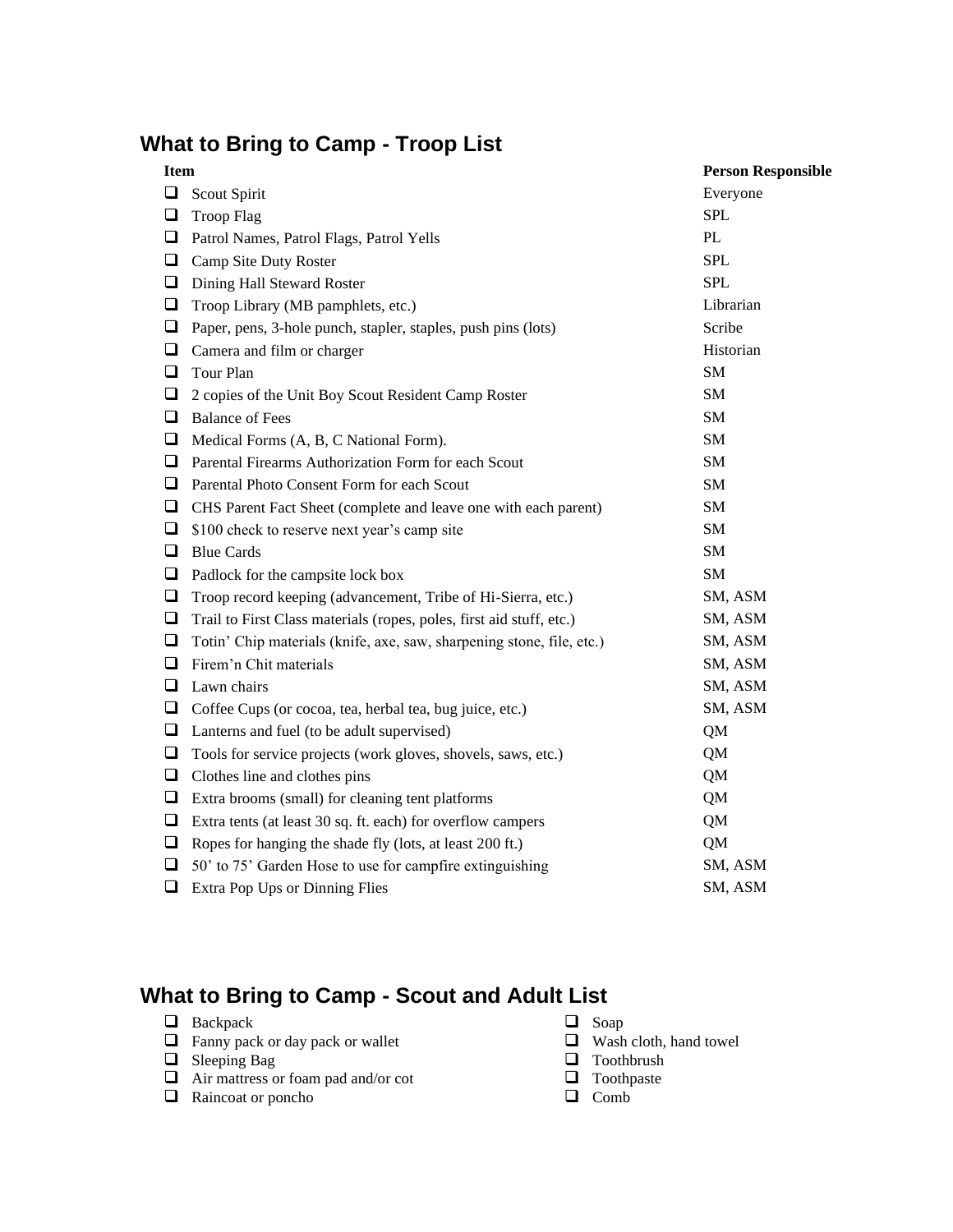# **What to Bring to Camp - Troop List**

| <b>Item</b> |                                                                       | <b>Person Responsible</b> |
|-------------|-----------------------------------------------------------------------|---------------------------|
| $\Box$      | Scout Spirit                                                          | Everyone                  |
| $\Box$      | <b>Troop Flag</b>                                                     | <b>SPL</b>                |
| ❏           | Patrol Names, Patrol Flags, Patrol Yells                              | $\rm PL$                  |
| $\Box$      | Camp Site Duty Roster                                                 | <b>SPL</b>                |
| $\Box$      | Dining Hall Steward Roster                                            | <b>SPL</b>                |
| $\Box$      | Troop Library (MB pamphlets, etc.)                                    | Librarian                 |
| $\Box$      | Paper, pens, 3-hole punch, stapler, staples, push pins (lots)         | Scribe                    |
| $\Box$      | Camera and film or charger                                            | Historian                 |
| $\Box$      | Tour Plan                                                             | SM                        |
| $\Box$      | 2 copies of the Unit Boy Scout Resident Camp Roster                   | SM                        |
| ❏           | <b>Balance of Fees</b>                                                | <b>SM</b>                 |
| $\Box$      | Medical Forms (A, B, C National Form).                                | SM                        |
| $\Box$      | Parental Firearms Authorization Form for each Scout                   | SM                        |
| $\Box$      | Parental Photo Consent Form for each Scout                            | <b>SM</b>                 |
| $\Box$      | CHS Parent Fact Sheet (complete and leave one with each parent)       | <b>SM</b>                 |
| $\Box$      | \$100 check to reserve next year's camp site                          | <b>SM</b>                 |
| $\Box$      | <b>Blue Cards</b>                                                     | SM                        |
| $\Box$      | Padlock for the campsite lock box                                     | SM                        |
| $\Box$      | Troop record keeping (advancement, Tribe of Hi-Sierra, etc.)          | SM, ASM                   |
| $\Box$      | Trail to First Class materials (ropes, poles, first aid stuff, etc.)  | SM, ASM                   |
| $\Box$      | Totin' Chip materials (knife, axe, saw, sharpening stone, file, etc.) | SM, ASM                   |
| $\Box$      | Firem'n Chit materials                                                | SM, ASM                   |
| $\Box$      | Lawn chairs                                                           | SM, ASM                   |
| $\Box$      | Coffee Cups (or cocoa, tea, herbal tea, bug juice, etc.)              | SM, ASM                   |
| $\Box$      | Lanterns and fuel (to be adult supervised)                            | QM                        |
| $\Box$      | Tools for service projects (work gloves, shovels, saws, etc.)         | QM                        |
| $\Box$      | Clothes line and clothes pins                                         | QM                        |
| ❏           | Extra brooms (small) for cleaning tent platforms                      | QM                        |
| $\Box$      | Extra tents (at least 30 sq. ft. each) for overflow campers           | QM                        |
| □           | Ropes for hanging the shade fly (lots, at least 200 ft.)              | QM                        |
| $\Box$      | 50' to 75' Garden Hose to use for campfire extinguishing              | SM, ASM                   |
| $\Box$      | Extra Pop Ups or Dinning Flies                                        | SM, ASM                   |

## **What to Bring to Camp - Scout and Adult List**

- 
- ❑ Backpack ❑ Soap  $\Box$  Fanny pack or day pack or wallet
- 
- ❑ Sleeping Bag ❑ Toothbrush  $\Box$  Air mattress or foam pad and/or cot  $\Box$  Toothp<br>  $\Box$  Raincoat or poncho  $\Box$  Comb
- □ Raincoat or poncho
- 
- 
- 
- 
-